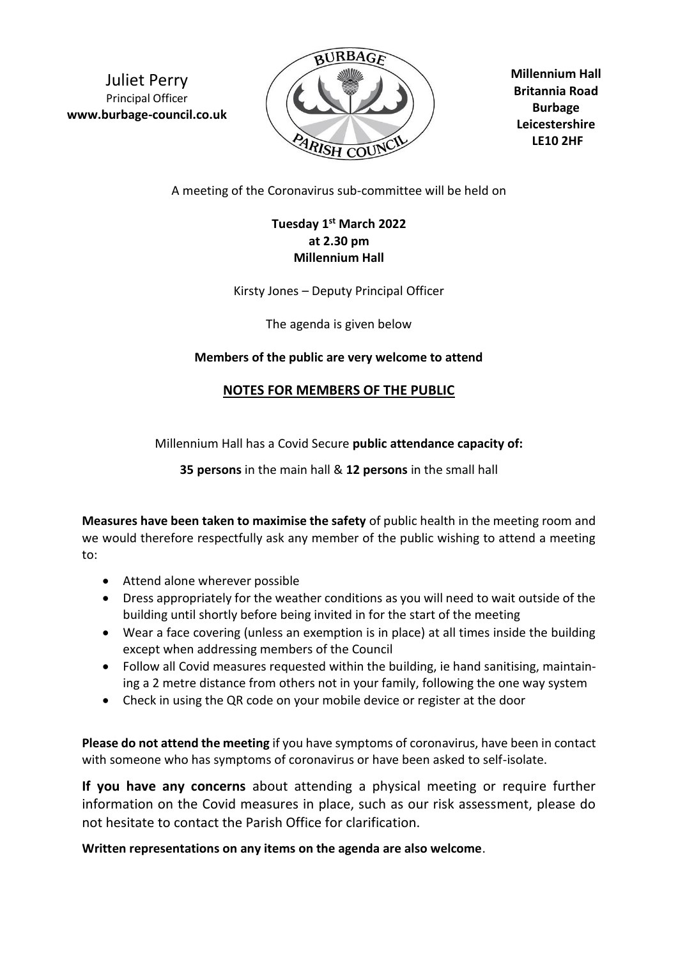Juliet Perry Principal Officer **www.burbage-council.co.uk**



**Millennium Hall Britannia Road Burbage Leicestershire LE10 2HF**

A meeting of the Coronavirus sub-committee will be held on

## **Tuesday 1 st March 2022 at 2.30 pm Millennium Hall**

Kirsty Jones – Deputy Principal Officer

The agenda is given below

## **Members of the public are very welcome to attend**

## **NOTES FOR MEMBERS OF THE PUBLIC**

Millennium Hall has a Covid Secure **public attendance capacity of:**

**35 persons** in the main hall & **12 persons** in the small hall

**Measures have been taken to maximise the safety** of public health in the meeting room and we would therefore respectfully ask any member of the public wishing to attend a meeting to:

- Attend alone wherever possible
- Dress appropriately for the weather conditions as you will need to wait outside of the building until shortly before being invited in for the start of the meeting
- Wear a face covering (unless an exemption is in place) at all times inside the building except when addressing members of the Council
- Follow all Covid measures requested within the building, ie hand sanitising, maintaining a 2 metre distance from others not in your family, following the one way system
- Check in using the QR code on your mobile device or register at the door

**Please do not attend the meeting** if you have symptoms of coronavirus, have been in contact with someone who has symptoms of coronavirus or have been asked to self-isolate.

**If you have any concerns** about attending a physical meeting or require further information on the Covid measures in place, such as our risk assessment, please do not hesitate to contact the Parish Office for clarification.

**Written representations on any items on the agenda are also welcome**.